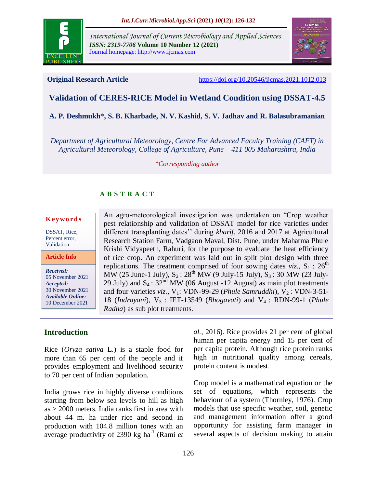

*International Journal of Current Microbiology and Applied Sciences ISSN: 2319-7706* **Volume 10 Number 12 (2021)**  Journal homepage: http://www.ijcmas.com



**Original Research Article** <https://doi.org/10.20546/ijcmas.2021.1012.013>

# **Validation of CERES-RICE Model in Wetland Condition using DSSAT-4.5**

# **A. P. Deshmukh\*, S. B. Kharbade, N. V. Kashid, S. V. Jadhav and R. Balasubramanian**

*Department of Agricultural Meteorology, Centre For Advanced Faculty Training (CAFT) in Agricultural Meteorology, College of Agriculture, Pune – 411 005 Maharashtra, India*

*\*Corresponding author*

# **A B S T R A C T**

### **K ey w o rd s**

DSSAT, Rice, Percent error, Validation

**Article Info**

*Received:*  05 November 2021 *Accepted:*  30 November 2021 *Available Online:* 10 December 2021

An agro-meteorological investigation was undertaken on "Crop weather pest relationship and validation of DSSAT model for rice varieties under different transplanting dates'' during *kharif*, 2016 and 2017 at Agricultural Research Station Farm, Vadgaon Maval, Dist. Pune, under Mahatma Phule Krishi Vidyapeeth, Rahuri, for the purpose to evaluate the heat efficiency of rice crop. An experiment was laid out in split plot design with three replications. The treatment comprised of four sowing dates *viz*.,  $S_1$ : 26<sup>th</sup> MW (25 June-1 July),  $S_2$ : 28<sup>th</sup> MW (9 July-15 July),  $S_3$ : 30 MW (23 July-29 July) and  $S_4$ :  $32^{nd}$  MW (06 August -12 August) as main plot treatments and four varieties *viz.*, V<sub>1</sub>: VDN-99-29 (*Phule Samruddhi*), V<sub>2</sub>: VDN-3-51-18 (*Indrayani*), V3 : IET-13549 (*Bhogavati*) and V4 : RDN-99-1 (*Phule Radha*) as sub plot treatments.

# **Introduction**

Rice (*Oryza sativa* L.) is a staple food for more than 65 per cent of the people and it provides employment and livelihood security to 70 per cent of Indian population.

India grows rice in highly diverse conditions starting from below sea levels to hill as high as > 2000 meters. India ranks first in area with about 44 m. ha under rice and second in production with 104.8 million tones with an average productivity of 2390 kg ha<sup>-1</sup> (Rami *et*  human per capita energy and 15 per cent of per capita protein. Although rice protein ranks high in nutritional quality among cereals, protein content is modest.

*al.,* 2016). Rice provides 21 per cent of global

Crop model is a mathematical equation or the set of equations, which represents the behaviour of a system (Thornley, 1976). Crop models that use specific weather, soil, genetic and management information offer a good opportunity for assisting farm manager in several aspects of decision making to attain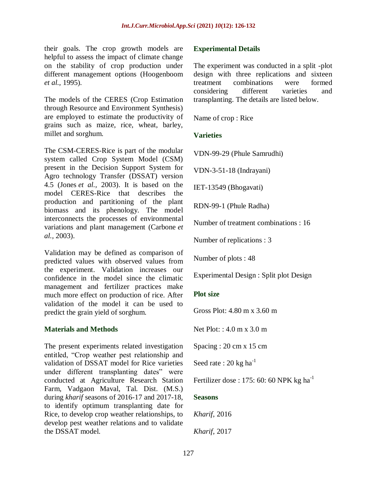their goals. The crop growth models are helpful to assess the impact of climate change on the stability of crop production under different management options (Hoogenboom *et al.,* 1995).

The models of the CERES (Crop Estimation through Resource and Environment Synthesis) are employed to estimate the productivity of grains such as maize, rice, wheat, barley, millet and sorghum.

The CSM-CERES-Rice is part of the modular system called Crop System Model (CSM) present in the Decision Support System for Agro technology Transfer (DSSAT) version 4.5 (Jones *et al.,* 2003). It is based on the model CERES-Rice that describes the production and partitioning of the plant biomass and its phenology. The model interconnects the processes of environmental variations and plant management (Carbone *et al.,* 2003).

Validation may be defined as comparison of predicted values with observed values from the experiment. Validation increases our confidence in the model since the climatic management and fertilizer practices make much more effect on production of rice. After validation of the model it can be used to predict the grain yield of sorghum.

### **Materials and Methods**

The present experiments related investigation entitled, "Crop weather pest relationship and validation of DSSAT model for Rice varieties under different transplanting dates" were conducted at Agriculture Research Station Farm, Vadgaon Maval, Tal. Dist. (M.S.) during *kharif* seasons of 2016-17 and 2017-18, to identify optimum transplanting date for Rice, to develop crop weather relationships, to develop pest weather relations and to validate the DSSAT model.

## **Experimental Details**

The experiment was conducted in a split -plot design with three replications and sixteen treatment combinations were formed considering different varieties and transplanting. The details are listed below.

Name of crop : Rice

# **Varieties**

VDN-99-29 (Phule Samrudhi)

VDN-3-51-18 (Indrayani)

IET-13549 (Bhogavati)

RDN-99-1 (Phule Radha)

Number of treatment combinations : 16

Number of replications : 3

Number of plots : 48

Experimental Design : Split plot Design

# **Plot size**

Gross Plot: 4.80 m x 3.60 m

Net Plot: : 4.0 m x 3.0 m

Spacing : 20 cm x 15 cm

Seed rate : 20 kg ha $^{-1}$ 

Fertilizer dose : 175: 60: 60 NPK kg ha<sup>-1</sup>

# **Seasons**

*Kharif,* 2016

*Kharif,* 2017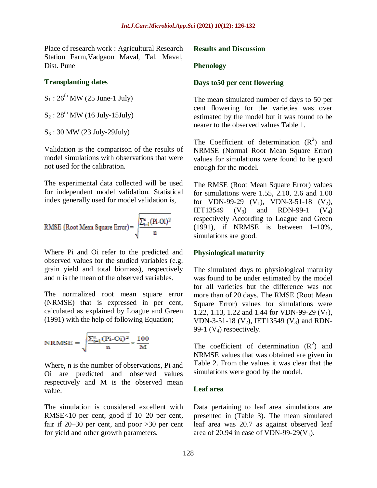Place of research work : Agricultural Research Station Farm,Vadgaon Maval, Tal. Maval, Dist. Pune

#### **Transplanting dates**

 $S_1$ :  $26^{th}$  MW (25 June-1 July)

 $S_2$ :  $28^{th}$  MW (16 July-15July)

S<sup>3</sup> : 30 MW (23 July-29July)

Validation is the comparison of the results of model simulations with observations that were not used for the calibration.

The experimental data collected will be used for independent model validation. Statistical index generally used for model validation is,

RMSE (Root Mean Square Error) = 
$$
\sqrt{\frac{\sum_{t=1}^{n} (Pi-Oi)^2}{n}}
$$

Where Pi and Oi refer to the predicted and observed values for the studied variables (e.g. grain yield and total biomass), respectively and n is the mean of the observed variables.

The normalized root mean square error (NRMSE) that is expressed in per cent, calculated as explained by Loague and Green (1991) with the help of following Equation;

$$
NRMSE = \sqrt{\frac{\sum_{t=1}^{n} (Pi-Oi)^2}{n}} \times \frac{100}{M}
$$

Where, n is the number of observations, Pi and Oi are predicted and observed values respectively and M is the observed mean value.

The simulation is considered excellent with RMSE<10 per cent, good if 10–20 per cent, fair if 20–30 per cent, and poor >30 per cent for yield and other growth parameters.

#### **Results and Discussion**

#### **Phenology**

#### **Days to50 per cent flowering**

The mean simulated number of days to 50 per cent flowering for the varieties was over estimated by the model but it was found to be nearer to the observed values Table 1.

The Coefficient of determination  $(R^2)$  and NRMSE (Normal Root Mean Square Error) values for simulations were found to be good enough for the model.

The RMSE (Root Mean Square Error) values for simulations were 1.55, 2.10, 2.6 and 1.00 for VDN-99-29  $(V_1)$ , VDN-3-51-18  $(V_2)$ , IET13549 (V<sub>3</sub>) and RDN-99-1 (V<sub>4</sub>) respectively According to Loague and Green  $(1991)$ , if NRMSE is between  $1-10\%$ , simulations are good.

#### **Physiological maturity**

The simulated days to physiological maturity was found to be under estimated by the model for all varieties but the difference was not more than of 20 days. The RMSE (Root Mean Square Error) values for simulations were 1.22, 1.13, 1.22 and 1.44 for VDN-99-29  $(V_1)$ , VDN-3-51-18 (V<sub>2</sub>), IET13549 (V<sub>3</sub>) and RDN-99-1  $(V_4)$  respectively.

The coefficient of determination  $(R^2)$  and NRMSE values that was obtained are given in Table 2. From the values it was clear that the simulations were good by the model.

#### **Leaf area**

Data pertaining to leaf area simulations are presented in (Table 3). The mean simulated leaf area was 20.7 as against observed leaf area of 20.94 in case of VDN-99-29( $V_1$ ).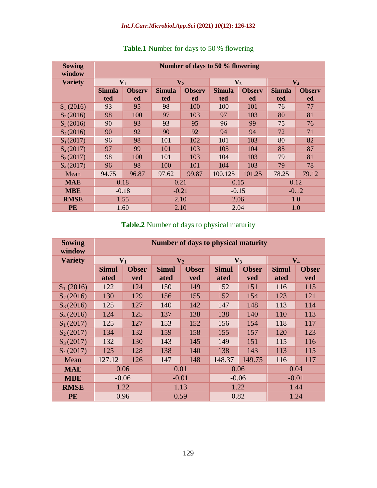## *Int.J.Curr.Microbiol.App.Sci* **(2021)** *10***(12): 126-132**

| <b>Sowing</b><br>window | Number of days to 50 % flowering |                     |                      |                            |                      |                     |                      |                     |
|-------------------------|----------------------------------|---------------------|----------------------|----------------------------|----------------------|---------------------|----------------------|---------------------|
| <b>Variety</b>          | $V_1$                            |                     | $\mathbf{V}_2$       |                            | $V_3$                |                     | $V_4$                |                     |
|                         | <b>Simula</b><br>ted             | <b>Observ</b><br>ed | <b>Simula</b><br>ted | <b>Observ</b><br><b>ed</b> | <b>Simula</b><br>ted | <b>Observ</b><br>ed | <b>Simula</b><br>ted | <b>Observ</b><br>ed |
| $S_1(2016)$             | 93                               | 95                  | 98                   | 100                        | 100                  | 101                 | 76                   | 77                  |
| $S_2(2016)$             | 98                               | 100                 | 97                   | 103                        | 97                   | 103                 | 80                   | 81                  |
| $S_3(2016)$             | 90                               | 93                  | 93                   | 95                         | 96                   | 99                  | 75                   | 76                  |
| $S_4(2016)$             | 90                               | 92                  | 90                   | 92                         | 94                   | 94                  | 72                   | 71                  |
| $S_1(2017)$             | 96                               | 98                  | 101                  | 102                        | 101                  | 103                 | 80                   | 82                  |
| $S_2(2017)$             | 97                               | 99                  | 101                  | 103                        | 105                  | 104                 | 85                   | 87                  |
| $S_3(2017)$             | 98                               | 100                 | 101                  | 103                        | 104                  | 103                 | 79                   | 81                  |
| $S_4(2017)$             | 96                               | 98                  | 100                  | 101                        | 104                  | 103                 | 79                   | 78                  |
| Mean                    | 94.75                            | 96.87               | 97.62                | 99.87                      | 100.125              | 101.25              | 78.25                | 79.12               |
| <b>MAE</b>              | 0.18                             |                     | 0.21                 |                            | 0.15                 |                     | 0.12                 |                     |
| <b>MBE</b>              | $-0.18$                          |                     | $-0.21$              |                            | $-0.15$              |                     | $-0.12$              |                     |
| <b>RMSE</b>             | 1.55                             |                     | 2.10                 |                            | 2.06                 |                     | 1.0                  |                     |
| <b>PE</b>               | 1.60                             |                     | 2.10                 |                            | 2.04                 |                     | 1.0                  |                     |

# **Table.1** Number for days to 50 % flowering

# **Table.2** Number of days to physical maturity

| <b>Sowing</b><br>window | <b>Number of days to physical maturity</b> |              |                |              |              |              |              |              |
|-------------------------|--------------------------------------------|--------------|----------------|--------------|--------------|--------------|--------------|--------------|
| <b>Variety</b>          | $V_1$                                      |              | $\mathbf{V}_2$ |              | $V_3$        |              | $V_4$        |              |
|                         | <b>Simul</b>                               | <b>Obser</b> | <b>Simul</b>   | <b>Obser</b> | <b>Simul</b> | <b>Obser</b> | <b>Simul</b> | <b>Obser</b> |
|                         | ated                                       | <b>ved</b>   | ated           | <b>ved</b>   | ated         | <b>ved</b>   | ated         | <b>ved</b>   |
| $S_1(2016)$             | 122                                        | 124          | 150            | 149          | 152          | 151          | 116          | 115          |
| $S_2(2016)$             | 130                                        | 129          | 156            | 155          | 152          | 154          | 123          | 121          |
| $S_3(2016)$             | 125                                        | 127          | 140            | 142          | 147          | 148          | 113          | 114          |
| $S_4(2016)$             | 124                                        | 125          | 137            | 138          | 138          | 140          | 110          | 113          |
| $S_1(2017)$             | 125                                        | 127          | 153            | 152          | 156          | 154          | 118          | 117          |
| $S_2(2017)$             | 134                                        | 132          | 159            | 158          | 155          | 157          | 120          | 123          |
| $S_3(2017)$             | 132                                        | 130          | 143            | 145          | 149          | 151          | 115          | 116          |
| S <sub>4</sub> (2017)   | 125                                        | 128          | 138            | 140          | 138          | 143          | 113          | 115          |
| Mean                    | 127.12                                     | 126          | 147            | 148          | 148.37       | 149.75       | 116          | 117          |
| <b>MAE</b>              | 0.06                                       |              | 0.01           |              | 0.06         |              | 0.04         |              |
| <b>MBE</b>              | $-0.06$                                    |              | $-0.01$        |              | $-0.06$      |              | $-0.01$      |              |
| <b>RMSE</b>             | 1.22                                       |              | 1.13           |              | 1.22         |              | 1.44         |              |
| <b>PE</b>               | 0.96                                       |              | 0.59           |              | 0.82         |              | 1.24         |              |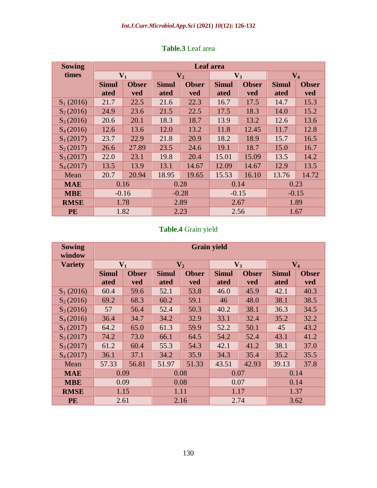| <b>Sowing</b>         | Leaf area    |              |                |              |              |              |              |              |
|-----------------------|--------------|--------------|----------------|--------------|--------------|--------------|--------------|--------------|
| times                 | $V_1$        |              | $\mathbf{V}_2$ |              | $V_3$        |              | $V_4$        |              |
|                       | <b>Simul</b> | <b>Obser</b> | <b>Simul</b>   | <b>Obser</b> | <b>Simul</b> | <b>Obser</b> | <b>Simul</b> | <b>Obser</b> |
|                       | ated         | ved          | ated           | ved          | ated         | ved          | ated         | ved          |
| $S_1(2016)$           | 21.7         | 22.5         | 21.6           | 22.3         | 16.7         | 17.5         | 14.7         | 15.3         |
| $S_2(2016)$           | 24.9         | 23.6         | 21.5           | 22.5         | 17.5         | 18.3         | 14.0         | 15.2         |
| $S_3(2016)$           | 20.6         | 20.1         | 18.3           | 18.7         | 13.9         | 13.2         | 12.6         | 13.6         |
| S <sub>4</sub> (2016) | 12.6         | 13.6         | 12.0           | 13.2         | 11.8         | 12.45        | 11.7         | 12.8         |
| $S_1(2017)$           | 23.7         | 22.9         | 21.8           | 20.9         | 18.2         | 18.9         | 15.7         | 16.5         |
| $S_2(2017)$           | 26.6         | 27.89        | 23.5           | 24.6         | 19.1         | 18.7         | 15.0         | 16.7         |
| $S_3(2017)$           | 22.0         | 23.1         | 19.8           | 20.4         | 15.01        | 15.09        | 13.5         | 14.2         |
| S <sub>4</sub> (2017) | 13.5         | 13.9         | 13.1           | 14.67        | 12.09        | 14.67        | 12.9         | 13.5         |
| Mean                  | 20.7         | 20.94        | 18.95          | 19.65        | 15.53        | 16.10        | 13.76        | 14.72        |
| <b>MAE</b>            | 0.16         |              | 0.28           |              | 0.14         |              | 0.23         |              |
| <b>MBE</b>            | $-0.16$      |              | $-0.28$        |              | $-0.15$      |              | $-0.15$      |              |
| <b>RMSE</b>           | 1.78         |              | 2.89           |              | 2.67         |              | 1.89         |              |
| <b>PE</b>             | 1.82         |              | 2.23           |              | 2.56         |              | 1.67         |              |

## **Table.3** Leaf area

# **Table.4** Grain yield

| <b>Sowing</b><br>window | <b>Grain yield</b> |              |                |              |              |              |                |              |
|-------------------------|--------------------|--------------|----------------|--------------|--------------|--------------|----------------|--------------|
| <b>Variety</b>          | $V_1$              |              | $\mathbf{V}_2$ |              | $V_3$        |              | $\mathbf{V}_4$ |              |
|                         | <b>Simul</b>       | <b>Obser</b> | <b>Simul</b>   | <b>Obser</b> | <b>Simul</b> | <b>Obser</b> | <b>Simul</b>   | <b>Obser</b> |
|                         | ated               | ved          | ated           | ved          | ated         | ved          | ated           | ved          |
| $S_1(2016)$             | 60.4               | 59.6         | 52.1           | 53.8         | 46.0         | 45.9         | 42.1           | 40.3         |
| $S_2(2016)$             | 69.2               | 68.3         | 60.2           | 59.1         | 46           | 48.0         | 38.1           | 38.5         |
| $S_3(2016)$             | 57                 | 56.4         | 52.4           | 50.3         | 40.2         | 38.1         | 36.3           | 34.5         |
| $S_4(2016)$             | 36.4               | 34.7         | 34.2           | 32.9         | 33.1         | 32.4         | 35.2           | 32.2         |
| $S_1(2017)$             | 64.2               | 65.0         | 61.3           | 59.9         | 52.2         | 50.1         | 45             | 43.2         |
| $S_2(2017)$             | 74.2               | 73.0         | 66.1           | 64.5         | 54.2         | 52.4         | 43.1           | 41.2         |
| $S_3(2017)$             | 61.2               | 60.4         | 55.3           | 54.3         | 42.1         | 41.2         | 38.1           | 37.0         |
| S <sub>4</sub> (2017)   | 36.1               | 37.1         | 34.2           | 35.9         | 34.3         | 35.4         | 35.2           | 35.5         |
| Mean                    | 57.33              | 56.81        | 51.97          | 51.33        | 43.51        | 42.93        | 39.13          | 37.8         |
| <b>MAE</b>              | 0.09               |              | 0.08           |              | 0.07         |              | 0.14           |              |
| <b>MBE</b>              | 0.09               |              | 0.08           |              | 0.07         |              | 0.14           |              |
| <b>RMSE</b>             | 1.15               |              | 1.11           |              | 1.17         |              | 1.37           |              |
| <b>PE</b>               | 2.61               |              | 2.16           |              | 2.74         |              | 3.62           |              |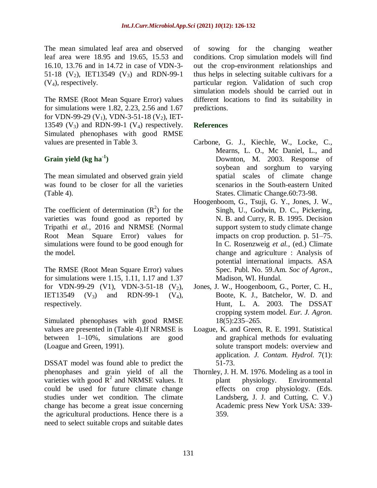The mean simulated leaf area and observed leaf area were 18.95 and 19.65, 15.53 and 16.10, 13.76 and in 14.72 in case of VDN-3- 51-18  $(V_2)$ , IET13549  $(V_3)$  and RDN-99-1  $(V_4)$ , respectively.

The RMSE (Root Mean Square Error) values for simulations were 1.82, 2.23, 2.56 and 1.67 for VDN-99-29 (V<sub>1</sub>), VDN-3-51-18 (V<sub>2</sub>), IET-13549 ( $V_3$ ) and RDN-99-1 ( $V_4$ ) respectively. Simulated phenophases with good RMSE values are presented in Table 3.

# **Grain yield (kg ha-1 )**

The mean simulated and observed grain yield was found to be closer for all the varieties (Table 4).

The coefficient of determination  $(R^2)$  for the varieties was found good as reported by Tripathi *et al.,* 2016 and NRMSE (Normal Root Mean Square Error) values for simulations were found to be good enough for the model.

The RMSE (Root Mean Square Error) values for simulations were 1.15, 1.11, 1.17 and 1.37 for VDN-99-29 (V1), VDN-3-51-18 (V<sub>2</sub>), IET13549  $(V_3)$  and RDN-99-1  $(V_4)$ , respectively.

Simulated phenophases with good RMSE values are presented in (Table 4).If NRMSE is between 1–10%, simulations are good (Loague and Green, 1991).

DSSAT model was found able to predict the phenophases and grain yield of all the varieties with good  $\mathbb{R}^2$  and NRMSE values. It could be used for future climate change studies under wet condition. The climate change has become a great issue concerning the agricultural productions. Hence there is a need to select suitable crops and suitable dates

of sowing for the changing weather conditions. Crop simulation models will find out the crop-environment relationships and thus helps in selecting suitable cultivars for a particular region. Validation of such crop simulation models should be carried out in different locations to find its suitability in predictions.

# **References**

- Carbone, G. J., Kiechle, W., Locke, C., Mearns, L. O., Mc Daniel, L., and Downton, M. 2003. Response of soybean and sorghum to varying spatial scales of climate change scenarios in the South-eastern United States. Climatic Change.60:73-98.
- Hoogenboom, G., Tsuji, G. Y., Jones, J. W., Singh, U., Godwin, D. C., Pickering, N. B. and Curry, R. B. 1995. Decision support system to study climate change impacts on crop production. p. 51–75. In C. Rosenzweig *et al.,* (ed.) Climate change and agriculture : Analysis of potential international impacts. ASA Spec. Publ. No. 59.Am. *Soc of Agron*., Madison, WI. Hundal.
- Jones, J. W., Hoogenboom, G., Porter, C. H., Boote, K. J., Batchelor, W. D. and Hunt, L. A. 2003. The DSSAT cropping system model. *Eur. J. Agron.* 18(5):235–265.
- Loague, K. and Green, R. E. 1991. Statistical and graphical methods for evaluating solute transport models: overview and application. *J. Contam. Hydrol.* 7(1): 51-73.
- Thornley, J. H. M. 1976. Modeling as a tool in plant physiology. Environmental effects on crop physiology. (Eds. Landsberg, J. J. and Cutting, C. V.) Academic press New York USA: 339- 359.